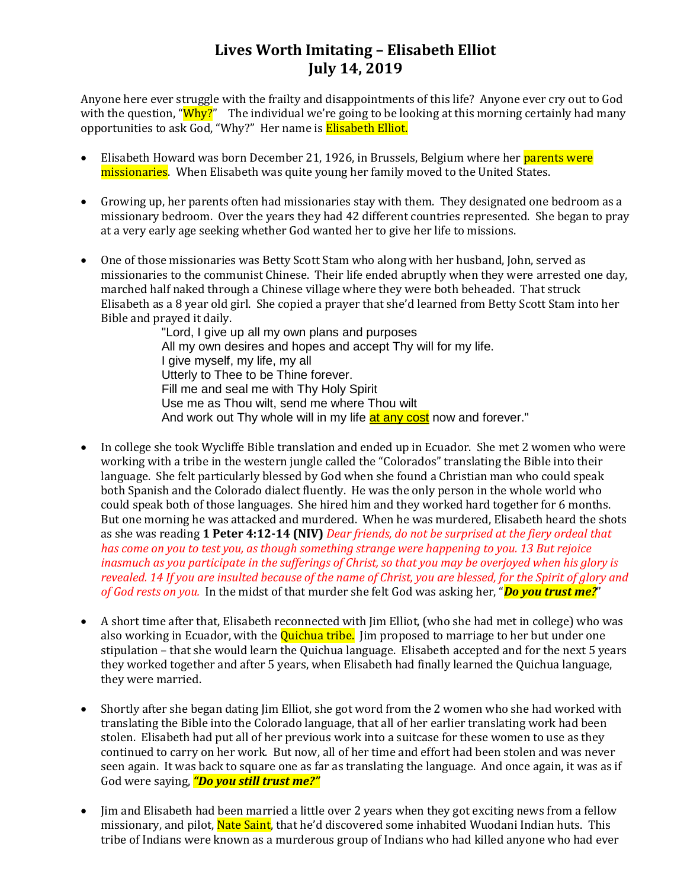## **Lives Worth Imitating – Elisabeth Elliot July 14, 2019**

Anyone here ever struggle with the frailty and disappointments of this life? Anyone ever cry out to God with the question, "Why?" The individual we're going to be looking at this morning certainly had many opportunities to ask God, "Why?" Her name is Elisabeth Elliot.

- Elisabeth Howard was born December 21, 1926, in Brussels, Belgium where her parents were missionaries. When Elisabeth was quite young her family moved to the United States.
- Growing up, her parents often had missionaries stay with them. They designated one bedroom as a missionary bedroom. Over the years they had 42 different countries represented. She began to pray at a very early age seeking whether God wanted her to give her life to missions.
- One of those missionaries was Betty Scott Stam who along with her husband, John, served as missionaries to the communist Chinese. Their life ended abruptly when they were arrested one day, marched half naked through a Chinese village where they were both beheaded. That struck Elisabeth as a 8 year old girl. She copied a prayer that she'd learned from Betty Scott Stam into her Bible and prayed it daily.

"Lord, I give up all my own plans and purposes All my own desires and hopes and accept Thy will for my life. I give myself, my life, my all Utterly to Thee to be Thine forever. Fill me and seal me with Thy Holy Spirit Use me as Thou wilt, send me where Thou wilt And work out Thy whole will in my life at any cost now and forever."

- In college she took Wycliffe Bible translation and ended up in Ecuador. She met 2 women who were working with a tribe in the western jungle called the "Colorados" translating the Bible into their language. She felt particularly blessed by God when she found a Christian man who could speak both Spanish and the Colorado dialect fluently. He was the only person in the whole world who could speak both of those languages. She hired him and they worked hard together for 6 months. But one morning he was attacked and murdered. When he was murdered, Elisabeth heard the shots as she was reading **1 Peter 4:12-14 (NIV)** *Dear friends, do not be surprised at the fiery ordeal that has come on you to test you, as though something strange were happening to you. 13 But rejoice inasmuch as you participate in the sufferings of Christ, so that you may be overjoyed when his glory is revealed. 14 If you are insulted because of the name of Christ, you are blessed, for the Spirit of glory and of God rests on you.* In the midst of that murder she felt God was asking her, "*Do you trust me?*"
- A short time after that, Elisabeth reconnected with Jim Elliot, (who she had met in college) who was also working in Ecuador, with the **Quichua tribe.** Jim proposed to marriage to her but under one stipulation – that she would learn the Quichua language. Elisabeth accepted and for the next 5 years they worked together and after 5 years, when Elisabeth had finally learned the Quichua language, they were married.
- Shortly after she began dating Jim Elliot, she got word from the 2 women who she had worked with translating the Bible into the Colorado language, that all of her earlier translating work had been stolen. Elisabeth had put all of her previous work into a suitcase for these women to use as they continued to carry on her work. But now, all of her time and effort had been stolen and was never seen again. It was back to square one as far as translating the language. And once again, it was as if God were saying, *"Do you still trust me?"*
- Jim and Elisabeth had been married a little over 2 years when they got exciting news from a fellow missionary, and pilot, **Nate Saint**, that he'd discovered some inhabited Wuodani Indian huts. This tribe of Indians were known as a murderous group of Indians who had killed anyone who had ever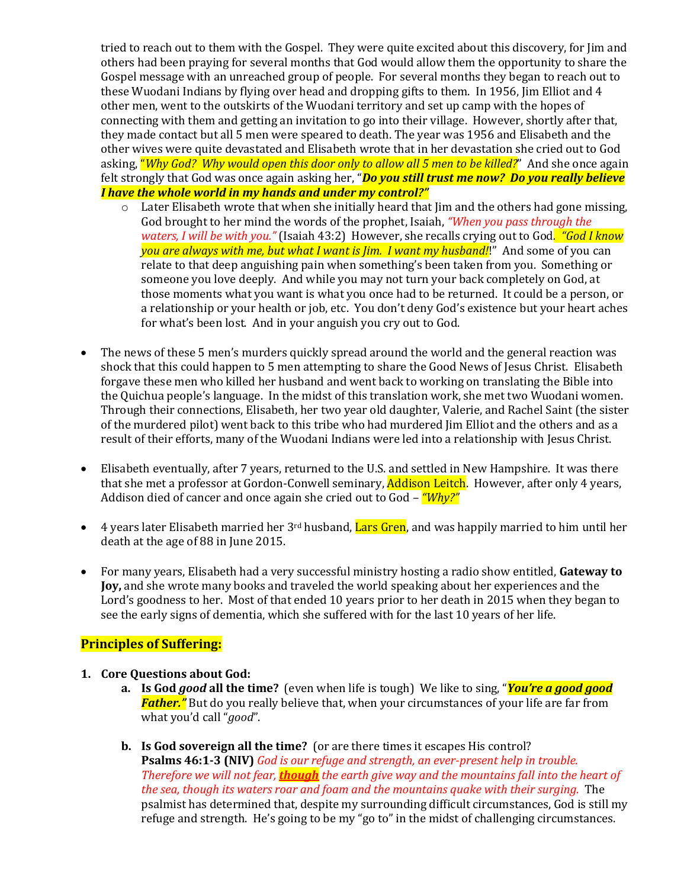tried to reach out to them with the Gospel. They were quite excited about this discovery, for Jim and others had been praying for several months that God would allow them the opportunity to share the Gospel message with an unreached group of people. For several months they began to reach out to these Wuodani Indians by flying over head and dropping gifts to them. In 1956, Jim Elliot and 4 other men, went to the outskirts of the Wuodani territory and set up camp with the hopes of connecting with them and getting an invitation to go into their village. However, shortly after that, they made contact but all 5 men were speared to death. The year was 1956 and Elisabeth and the other wives were quite devastated and Elisabeth wrote that in her devastation she cried out to God asking, "*Why God? Why would open this door only to allow all 5 men to be killed?*" And she once again felt strongly that God was once again asking her, "*Do you still trust me now? Do you really believe I have the whole world in my hands and under my control?"*

- $\circ$  Later Elisabeth wrote that when she initially heard that Jim and the others had gone missing, God brought to her mind the words of the prophet, Isaiah, *"When you pass through the waters, I will be with you."* (Isaiah 43:2) However, she recalls crying out to God*. "God I know you are always with me, but what I want is Jim. I want my husband!*!" And some of you can relate to that deep anguishing pain when something's been taken from you. Something or someone you love deeply. And while you may not turn your back completely on God, at those moments what you want is what you once had to be returned. It could be a person, or a relationship or your health or job, etc. You don't deny God's existence but your heart aches for what's been lost. And in your anguish you cry out to God.
- The news of these 5 men's murders quickly spread around the world and the general reaction was shock that this could happen to 5 men attempting to share the Good News of Jesus Christ. Elisabeth forgave these men who killed her husband and went back to working on translating the Bible into the Quichua people's language. In the midst of this translation work, she met two Wuodani women. Through their connections, Elisabeth, her two year old daughter, Valerie, and Rachel Saint (the sister of the murdered pilot) went back to this tribe who had murdered Jim Elliot and the others and as a result of their efforts, many of the Wuodani Indians were led into a relationship with Jesus Christ.
- Elisabeth eventually, after 7 years, returned to the U.S. and settled in New Hampshire. It was there that she met a professor at Gordon-Conwell seminary, **Addison Leitch**. However, after only 4 years, Addison died of cancer and once again she cried out to God – *"Why?"*
- 4 years later Elisabeth married her  $3^{rd}$  husband, Lars Gren, and was happily married to him until her death at the age of 88 in June 2015.
- For many years, Elisabeth had a very successful ministry hosting a radio show entitled, **Gateway to Joy,** and she wrote many books and traveled the world speaking about her experiences and the Lord's goodness to her. Most of that ended 10 years prior to her death in 2015 when they began to see the early signs of dementia, which she suffered with for the last 10 years of her life.

#### **Principles of Suffering:**

- **1. Core Questions about God:**
	- **a. Is God** *good* **all the time?** (even when life is tough) We like to sing, "*You're a good good Father."* But do you really believe that, when your circumstances of your life are far from what you'd call "*good*".
	- **b. Is God sovereign all the time?** (or are there times it escapes His control? **Psalms 46:1-3 (NIV)** *God is our refuge and strength, an ever-present help in trouble. Therefore we will not fear, though the earth give way and the mountains fall into the heart of the sea, though its waters roar and foam and the mountains quake with their surging.* The psalmist has determined that, despite my surrounding difficult circumstances, God is still my refuge and strength. He's going to be my "go to" in the midst of challenging circumstances.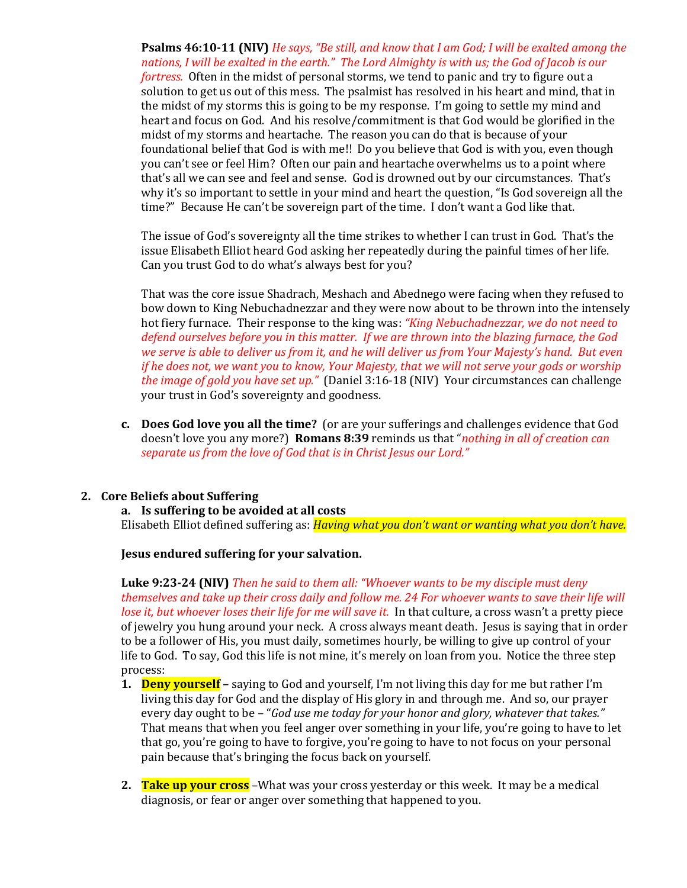**Psalms 46:10-11 (NIV)** *He says, "Be still, and know that I am God; I will be exalted among the nations, I will be exalted in the earth." The Lord Almighty is with us; the God of Jacob is our* 

*fortress.* Often in the midst of personal storms, we tend to panic and try to figure out a solution to get us out of this mess. The psalmist has resolved in his heart and mind, that in the midst of my storms this is going to be my response. I'm going to settle my mind and heart and focus on God. And his resolve/commitment is that God would be glorified in the midst of my storms and heartache. The reason you can do that is because of your foundational belief that God is with me!! Do you believe that God is with you, even though you can't see or feel Him? Often our pain and heartache overwhelms us to a point where that's all we can see and feel and sense. God is drowned out by our circumstances. That's why it's so important to settle in your mind and heart the question, "Is God sovereign all the time?" Because He can't be sovereign part of the time. I don't want a God like that.

The issue of God's sovereignty all the time strikes to whether I can trust in God. That's the issue Elisabeth Elliot heard God asking her repeatedly during the painful times of her life. Can you trust God to do what's always best for you?

That was the core issue Shadrach, Meshach and Abednego were facing when they refused to bow down to King Nebuchadnezzar and they were now about to be thrown into the intensely hot fiery furnace. Their response to the king was: *"King Nebuchadnezzar, we do not need to defend ourselves before you in this matter. If we are thrown into the blazing furnace, the God we serve is able to deliver us from it, and he will deliver us from Your Majesty's hand. But even if he does not, we want you to know, Your Majesty, that we will not serve your gods or worship the image of gold you have set up."* (Daniel 3:16-18 (NIV) Your circumstances can challenge your trust in God's sovereignty and goodness.

**c. Does God love you all the time?** (or are your sufferings and challenges evidence that God doesn't love you any more?) **Romans 8:39** reminds us that "*nothing in all of creation can separate us from the love of God that is in Christ Jesus our Lord."*

#### **2. Core Beliefs about Suffering**

**a. Is suffering to be avoided at all costs**

Elisabeth Elliot defined suffering as: *Having what you don't want or wanting what you don't have.*

**Jesus endured suffering for your salvation.**

**Luke 9:23-24 (NIV)** *Then he said to them all: "Whoever wants to be my disciple must deny themselves and take up their cross daily and follow me. 24 For whoever wants to save their life will lose it, but whoever loses their life for me will save it.* In that culture, a cross wasn't a pretty piece of jewelry you hung around your neck. A cross always meant death. Jesus is saying that in order to be a follower of His, you must daily, sometimes hourly, be willing to give up control of your life to God. To say, God this life is not mine, it's merely on loan from you. Notice the three step process:

- **1. Deny yourself –** saying to God and yourself, I'm not living this day for me but rather I'm living this day for God and the display of His glory in and through me. And so, our prayer every day ought to be – "*God use me today for your honor and glory, whatever that takes."* That means that when you feel anger over something in your life, you're going to have to let that go, you're going to have to forgive, you're going to have to not focus on your personal pain because that's bringing the focus back on yourself.
- **2. Take up your cross** –What was your cross yesterday or this week. It may be a medical diagnosis, or fear or anger over something that happened to you.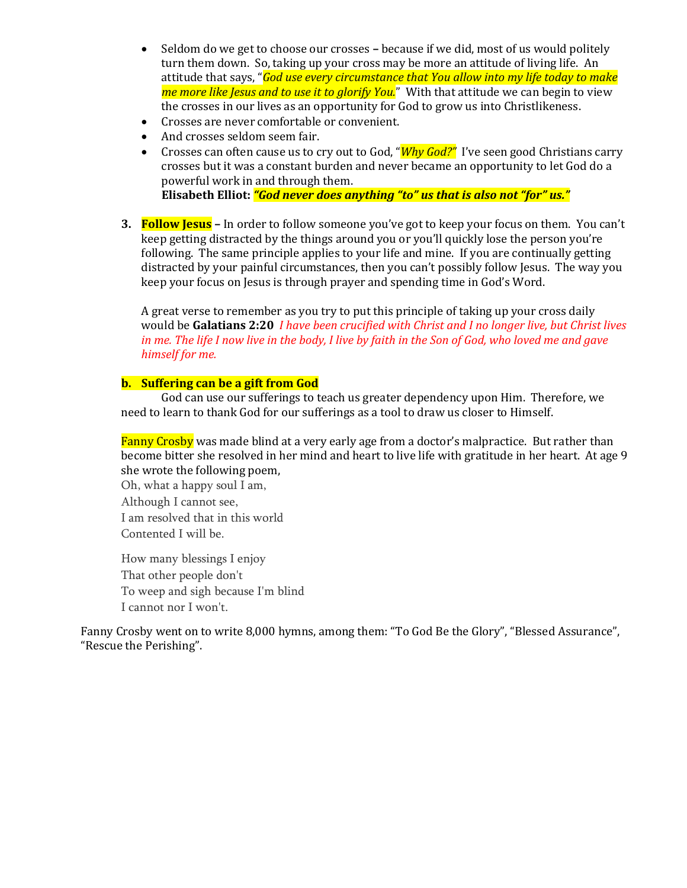- Seldom do we get to choose our crosses **–** because if we did, most of us would politely turn them down. So, taking up your cross may be more an attitude of living life. An attitude that says, "*God use every circumstance that You allow into my life today to make me more like Jesus and to use it to glorify You.*" With that attitude we can begin to view the crosses in our lives as an opportunity for God to grow us into Christlikeness.
- Crosses are never comfortable or convenient.
- And crosses seldom seem fair.
- Crosses can often cause us to cry out to God, "**Why God?"** I've seen good Christians carry crosses but it was a constant burden and never became an opportunity to let God do a powerful work in and through them. **Elisabeth Elliot:** *"God never does anything "to" us that is also not "for" us."*
- **3. Follow Jesus –** In order to follow someone you've got to keep your focus on them. You can't keep getting distracted by the things around you or you'll quickly lose the person you're following. The same principle applies to your life and mine. If you are continually getting distracted by your painful circumstances, then you can't possibly follow Jesus. The way you keep your focus on Jesus is through prayer and spending time in God's Word.

A great verse to remember as you try to put this principle of taking up your cross daily would be **Galatians 2:20** *I have been crucified with Christ and I no longer live, but Christ lives in me. The life I now live in the body, I live by faith in the Son of God, who loved me and gave himself for me.*

#### **b. Suffering can be a gift from God**

God can use our sufferings to teach us greater dependency upon Him. Therefore, we need to learn to thank God for our sufferings as a tool to draw us closer to Himself.

Fanny Crosby was made blind at a very early age from a doctor's malpractice. But rather than become bitter she resolved in her mind and heart to live life with gratitude in her heart. At age 9 she wrote the following poem,

Oh, what a happy soul I am, Although I cannot see, I am resolved that in this world Contented I will be.

How many blessings I enjoy That other people don't To weep and sigh because I'm blind I cannot nor I won't.

Fanny Crosby went on to write 8,000 hymns, among them: "To God Be the Glory", "Blessed Assurance", "Rescue the Perishing".